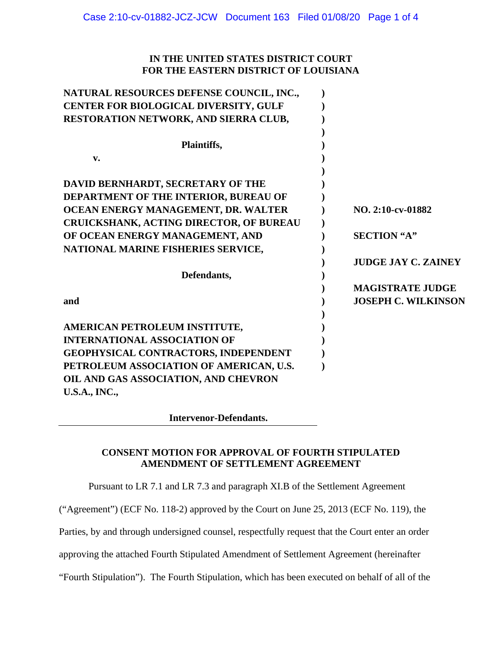# **IN THE UNITED STATES DISTRICT COURT FOR THE EASTERN DISTRICT OF LOUISIANA**

| NATURAL RESOURCES DEFENSE COUNCIL, INC., |                            |
|------------------------------------------|----------------------------|
| CENTER FOR BIOLOGICAL DIVERSITY, GULF    |                            |
| RESTORATION NETWORK, AND SIERRA CLUB,    |                            |
|                                          |                            |
| Plaintiffs,                              |                            |
| v.                                       |                            |
|                                          |                            |
| DAVID BERNHARDT, SECRETARY OF THE        |                            |
| DEPARTMENT OF THE INTERIOR, BUREAU OF    |                            |
| OCEAN ENERGY MANAGEMENT, DR. WALTER      | NO. 2:10-cv-01882          |
| CRUICKSHANK, ACTING DIRECTOR, OF BUREAU  |                            |
| OF OCEAN ENERGY MANAGEMENT, AND          | <b>SECTION "A"</b>         |
| NATIONAL MARINE FISHERIES SERVICE,       |                            |
|                                          | <b>JUDGE JAY C. ZAINEY</b> |
| Defendants,                              |                            |
|                                          | <b>MAGISTRATE JUDGE</b>    |
| and                                      | <b>JOSEPH C. WILKINSON</b> |
|                                          |                            |
| AMERICAN PETROLEUM INSTITUTE,            |                            |
| <b>INTERNATIONAL ASSOCIATION OF</b>      |                            |
| GEOPHYSICAL CONTRACTORS, INDEPENDENT     |                            |
| PETROLEUM ASSOCIATION OF AMERICAN, U.S.  |                            |
| OIL AND GAS ASSOCIATION, AND CHEVRON     |                            |
| <b>U.S.A., INC.,</b>                     |                            |

 **Intervenor-Defendants.** 

# **CONSENT MOTION FOR APPROVAL OF FOURTH STIPULATED AMENDMENT OF SETTLEMENT AGREEMENT**

Pursuant to LR 7.1 and LR 7.3 and paragraph XI.B of the Settlement Agreement

("Agreement") (ECF No. 118-2) approved by the Court on June 25, 2013 (ECF No. 119), the

Parties, by and through undersigned counsel, respectfully request that the Court enter an order

approving the attached Fourth Stipulated Amendment of Settlement Agreement (hereinafter

"Fourth Stipulation"). The Fourth Stipulation, which has been executed on behalf of all of the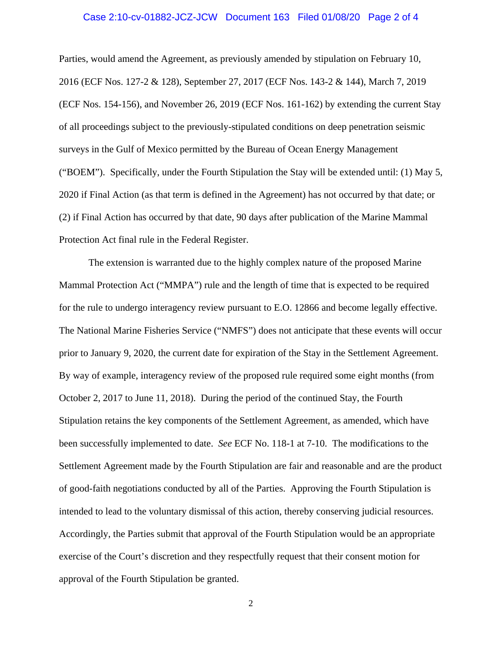#### Case 2:10-cv-01882-JCZ-JCW Document 163 Filed 01/08/20 Page 2 of 4

Parties, would amend the Agreement, as previously amended by stipulation on February 10, 2016 (ECF Nos. 127-2 & 128), September 27, 2017 (ECF Nos. 143-2 & 144), March 7, 2019 (ECF Nos. 154-156), and November 26, 2019 (ECF Nos. 161-162) by extending the current Stay of all proceedings subject to the previously-stipulated conditions on deep penetration seismic surveys in the Gulf of Mexico permitted by the Bureau of Ocean Energy Management ("BOEM"). Specifically, under the Fourth Stipulation the Stay will be extended until: (1) May 5, 2020 if Final Action (as that term is defined in the Agreement) has not occurred by that date; or (2) if Final Action has occurred by that date, 90 days after publication of the Marine Mammal Protection Act final rule in the Federal Register.

The extension is warranted due to the highly complex nature of the proposed Marine Mammal Protection Act ("MMPA") rule and the length of time that is expected to be required for the rule to undergo interagency review pursuant to E.O. 12866 and become legally effective. The National Marine Fisheries Service ("NMFS") does not anticipate that these events will occur prior to January 9, 2020, the current date for expiration of the Stay in the Settlement Agreement. By way of example, interagency review of the proposed rule required some eight months (from October 2, 2017 to June 11, 2018). During the period of the continued Stay, the Fourth Stipulation retains the key components of the Settlement Agreement, as amended, which have been successfully implemented to date. *See* ECF No. 118-1 at 7-10. The modifications to the Settlement Agreement made by the Fourth Stipulation are fair and reasonable and are the product of good-faith negotiations conducted by all of the Parties. Approving the Fourth Stipulation is intended to lead to the voluntary dismissal of this action, thereby conserving judicial resources. Accordingly, the Parties submit that approval of the Fourth Stipulation would be an appropriate exercise of the Court's discretion and they respectfully request that their consent motion for approval of the Fourth Stipulation be granted.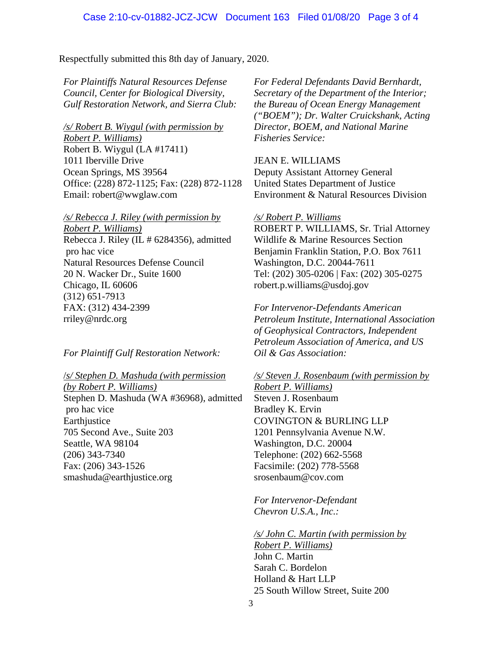Respectfully submitted this 8th day of January, 2020.

*For Plaintiffs Natural Resources Defense Council, Center for Biological Diversity, Gulf Restoration Network, and Sierra Club:*

*/s/ Robert B. Wiygul (with permission by Robert P. Williams)*  Robert B. Wiygul (LA #17411) 1011 Iberville Drive Ocean Springs, MS 39564 Office: (228) 872-1125; Fax: (228) 872-1128 Email: robert@wwglaw.com

*/s/ Rebecca J. Riley (with permission by Robert P. Williams)*  Rebecca J. Riley (IL # 6284356), admitted pro hac vice Natural Resources Defense Council 20 N. Wacker Dr., Suite 1600 Chicago, IL 60606 (312) 651-7913 FAX: (312) 434-2399 rriley@nrdc.org

*For Plaintiff Gulf Restoration Network:* 

/*s/ Stephen D. Mashuda (with permission (by Robert P. Williams)*  Stephen D. Mashuda (WA #36968), admitted pro hac vice Earthjustice 705 Second Ave., Suite 203 Seattle, WA 98104 (206) 343-7340 Fax: (206) 343-1526 smashuda@earthjustice.org

*For Federal Defendants David Bernhardt, Secretary of the Department of the Interior; the Bureau of Ocean Energy Management ("BOEM"); Dr. Walter Cruickshank, Acting Director, BOEM, and National Marine Fisheries Service:* 

JEAN E. WILLIAMS Deputy Assistant Attorney General United States Department of Justice Environment & Natural Resources Division

## */s/ Robert P. Williams*  ROBERT P. WILLIAMS, Sr. Trial Attorney Wildlife & Marine Resources Section Benjamin Franklin Station, P.O. Box 7611 Washington, D.C. 20044-7611 Tel: (202) 305-0206 | Fax: (202) 305-0275 robert.p.williams@usdoj.gov

*For Intervenor-Defendants American Petroleum Institute, International Association of Geophysical Contractors, Independent Petroleum Association of America, and US Oil & Gas Association:*

*/s/ Steven J. Rosenbaum (with permission by Robert P. Williams)*  Steven J. Rosenbaum Bradley K. Ervin COVINGTON & BURLING LLP 1201 Pennsylvania Avenue N.W. Washington, D.C. 20004 Telephone: (202) 662-5568 Facsimile: (202) 778-5568

*For Intervenor-Defendant Chevron U.S.A., Inc.:*

srosenbaum@cov.com

*/s/ John C. Martin (with permission by* 

*Robert P. Williams)*  John C. Martin Sarah C. Bordelon Holland & Hart LLP 25 South Willow Street, Suite 200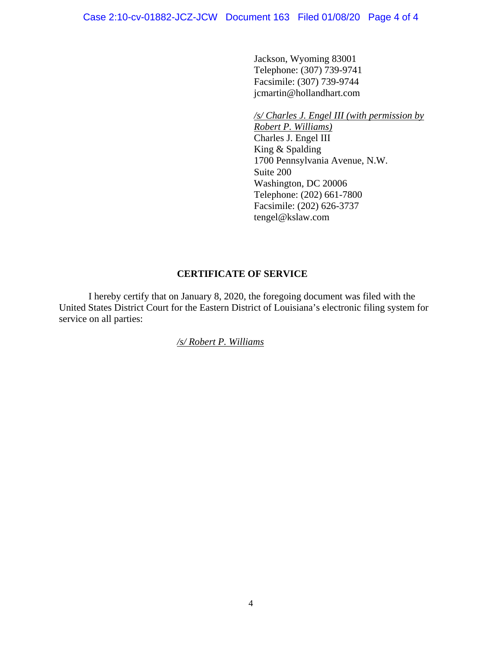Jackson, Wyoming 83001 Telephone: (307) 739-9741 Facsimile: (307) 739-9744 jcmartin@hollandhart.com

#### */s/ Charles J. Engel III (with permission by*

*Robert P. Williams)*  Charles J. Engel III King & Spalding 1700 Pennsylvania Avenue, N.W. Suite 200 Washington, DC 20006 Telephone: (202) 661-7800 Facsimile: (202) 626-3737 tengel@kslaw.com

## **CERTIFICATE OF SERVICE**

I hereby certify that on January 8, 2020, the foregoing document was filed with the United States District Court for the Eastern District of Louisiana's electronic filing system for service on all parties:

*/s/ Robert P. Williams*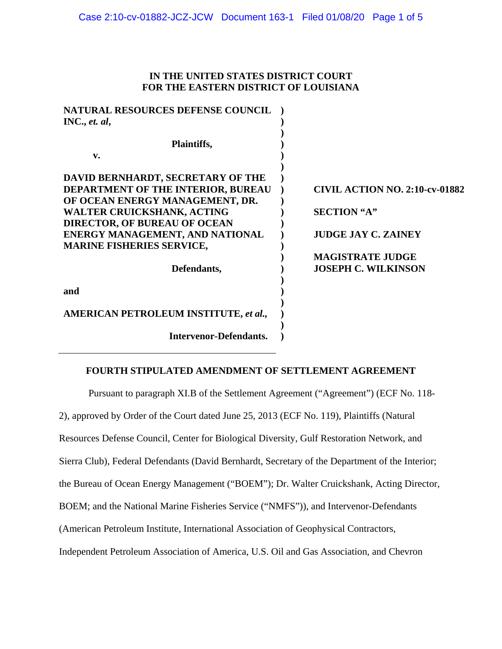### **IN THE UNITED STATES DISTRICT COURT FOR THE EASTERN DISTRICT OF LOUISIANA**

| <b>NATURAL RESOURCES DEFENSE COUNCIL</b>     |                                       |
|----------------------------------------------|---------------------------------------|
| INC., et. al,                                |                                       |
| Plaintiffs,                                  |                                       |
|                                              |                                       |
| $\mathbf{v}$ .                               |                                       |
|                                              |                                       |
| DAVID BERNHARDT, SECRETARY OF THE            |                                       |
| DEPARTMENT OF THE INTERIOR, BUREAU           | <b>CIVIL ACTION NO. 2:10-cv-01882</b> |
| OF OCEAN ENERGY MANAGEMENT, DR.              |                                       |
| <b>WALTER CRUICKSHANK, ACTING</b>            | <b>SECTION "A"</b>                    |
| <b>DIRECTOR, OF BUREAU OF OCEAN</b>          |                                       |
| ENERGY MANAGEMENT, AND NATIONAL              | <b>JUDGE JAY C. ZAINEY</b>            |
| <b>MARINE FISHERIES SERVICE,</b>             |                                       |
|                                              | <b>MAGISTRATE JUDGE</b>               |
|                                              |                                       |
| Defendants,                                  | <b>JOSEPH C. WILKINSON</b>            |
|                                              |                                       |
| and                                          |                                       |
|                                              |                                       |
| <b>AMERICAN PETROLEUM INSTITUTE, et al.,</b> |                                       |
|                                              |                                       |
| <b>Intervenor-Defendants.</b>                |                                       |
|                                              |                                       |

### **FOURTH STIPULATED AMENDMENT OF SETTLEMENT AGREEMENT**

Pursuant to paragraph XI.B of the Settlement Agreement ("Agreement") (ECF No. 118-

2), approved by Order of the Court dated June 25, 2013 (ECF No. 119), Plaintiffs (Natural

Resources Defense Council, Center for Biological Diversity, Gulf Restoration Network, and

Sierra Club), Federal Defendants (David Bernhardt, Secretary of the Department of the Interior;

the Bureau of Ocean Energy Management ("BOEM"); Dr. Walter Cruickshank, Acting Director,

BOEM; and the National Marine Fisheries Service ("NMFS")), and Intervenor-Defendants

(American Petroleum Institute, International Association of Geophysical Contractors,

Independent Petroleum Association of America, U.S. Oil and Gas Association, and Chevron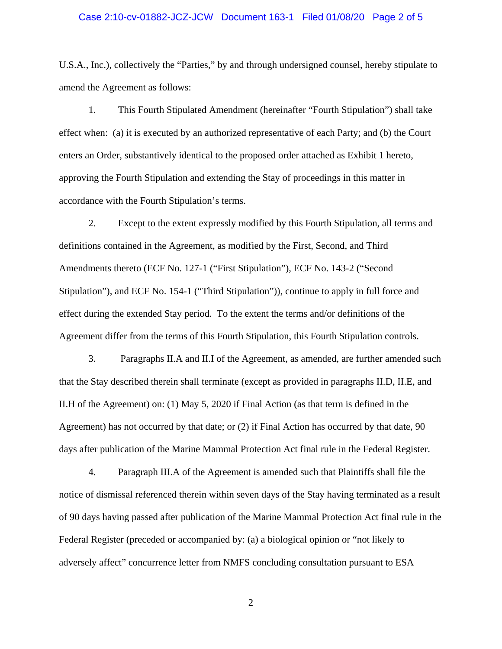#### Case 2:10-cv-01882-JCZ-JCW Document 163-1 Filed 01/08/20 Page 2 of 5

U.S.A., Inc.), collectively the "Parties," by and through undersigned counsel, hereby stipulate to amend the Agreement as follows:

1. This Fourth Stipulated Amendment (hereinafter "Fourth Stipulation") shall take effect when: (a) it is executed by an authorized representative of each Party; and (b) the Court enters an Order, substantively identical to the proposed order attached as Exhibit 1 hereto, approving the Fourth Stipulation and extending the Stay of proceedings in this matter in accordance with the Fourth Stipulation's terms.

2. Except to the extent expressly modified by this Fourth Stipulation, all terms and definitions contained in the Agreement, as modified by the First, Second, and Third Amendments thereto (ECF No. 127-1 ("First Stipulation"), ECF No. 143-2 ("Second Stipulation"), and ECF No. 154-1 ("Third Stipulation")), continue to apply in full force and effect during the extended Stay period. To the extent the terms and/or definitions of the Agreement differ from the terms of this Fourth Stipulation, this Fourth Stipulation controls.

3. Paragraphs II.A and II.I of the Agreement, as amended, are further amended such that the Stay described therein shall terminate (except as provided in paragraphs II.D, II.E, and II.H of the Agreement) on: (1) May 5, 2020 if Final Action (as that term is defined in the Agreement) has not occurred by that date; or (2) if Final Action has occurred by that date, 90 days after publication of the Marine Mammal Protection Act final rule in the Federal Register.

4. Paragraph III.A of the Agreement is amended such that Plaintiffs shall file the notice of dismissal referenced therein within seven days of the Stay having terminated as a result of 90 days having passed after publication of the Marine Mammal Protection Act final rule in the Federal Register (preceded or accompanied by: (a) a biological opinion or "not likely to adversely affect" concurrence letter from NMFS concluding consultation pursuant to ESA

2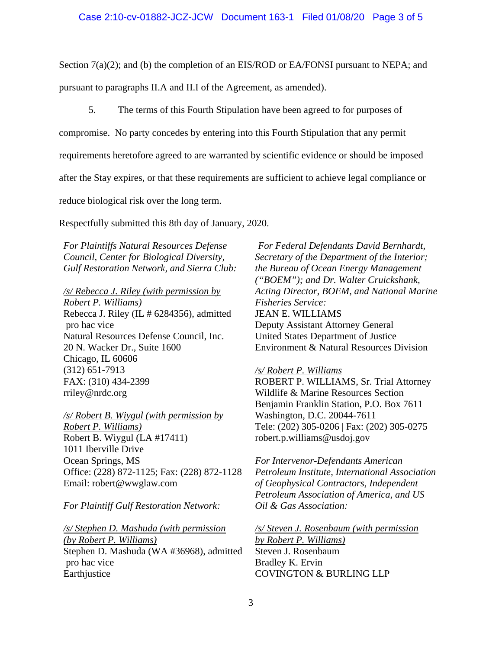Section 7(a)(2); and (b) the completion of an EIS/ROD or EA/FONSI pursuant to NEPA; and

pursuant to paragraphs II.A and II.I of the Agreement, as amended).

5. The terms of this Fourth Stipulation have been agreed to for purposes of

compromise. No party concedes by entering into this Fourth Stipulation that any permit

requirements heretofore agreed to are warranted by scientific evidence or should be imposed

after the Stay expires, or that these requirements are sufficient to achieve legal compliance or

reduce biological risk over the long term.

Respectfully submitted this 8th day of January, 2020.

*For Plaintiffs Natural Resources Defense Council, Center for Biological Diversity, Gulf Restoration Network, and Sierra Club:*

*/s/ Rebecca J. Riley (with permission by Robert P. Williams)*  Rebecca J. Riley (IL # 6284356), admitted pro hac vice Natural Resources Defense Council, Inc. 20 N. Wacker Dr., Suite 1600 Chicago, IL 60606 (312) 651-7913 FAX: (310) 434-2399 rriley@nrdc.org

*/s/ Robert B. Wiygul (with permission by Robert P. Williams)*  Robert B. Wiygul (LA #17411) 1011 Iberville Drive Ocean Springs, MS Office: (228) 872-1125; Fax: (228) 872-1128 Email: robert@wwglaw.com

*For Plaintiff Gulf Restoration Network:* 

*/s/ Stephen D. Mashuda (with permission (by Robert P. Williams)*  Stephen D. Mashuda (WA #36968), admitted pro hac vice Earthjustice

*For Federal Defendants David Bernhardt, Secretary of the Department of the Interior; the Bureau of Ocean Energy Management ("BOEM"); and Dr. Walter Cruickshank, Acting Director, BOEM, and National Marine Fisheries Service:*  JEAN E. WILLIAMS Deputy Assistant Attorney General United States Department of Justice Environment & Natural Resources Division

#### */s/ Robert P. Williams*

ROBERT P. WILLIAMS, Sr. Trial Attorney Wildlife & Marine Resources Section Benjamin Franklin Station, P.O. Box 7611 Washington, D.C. 20044-7611 Tele: (202) 305-0206 | Fax: (202) 305-0275 robert.p.williams@usdoj.gov

*For Intervenor-Defendants American Petroleum Institute, International Association of Geophysical Contractors, Independent Petroleum Association of America, and US Oil & Gas Association:*

*/s/ Steven J. Rosenbaum (with permission by Robert P. Williams)*  Steven J. Rosenbaum Bradley K. Ervin COVINGTON & BURLING LLP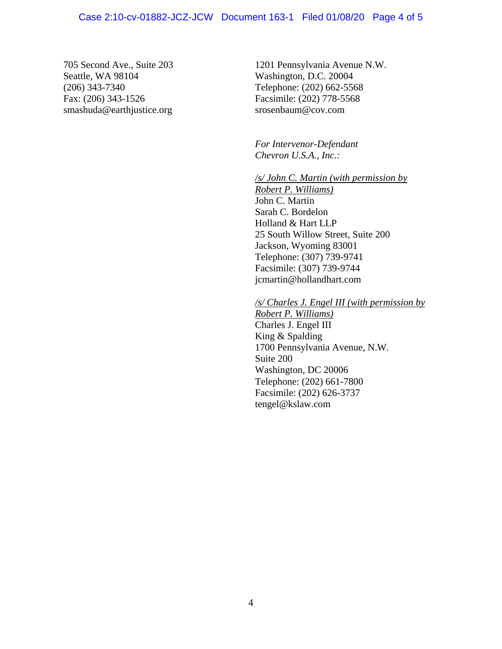#### Case 2:10-cv-01882-JCZ-JCW Document 163-1 Filed 01/08/20 Page 4 of 5

705 Second Ave., Suite 203 Seattle, WA 98104 (206) 343-7340 Fax: (206) 343-1526 smashuda@earthjustice.org

1201 Pennsylvania Avenue N.W. Washington, D.C. 20004 Telephone: (202) 662-5568 Facsimile: (202) 778-5568 srosenbaum@cov.com

*For Intervenor-Defendant Chevron U.S.A., Inc.:*

*/s/ John C. Martin (with permission by* 

*Robert P. Williams)*  John C. Martin Sarah C. Bordelon Holland & Hart LLP 25 South Willow Street, Suite 200 Jackson, Wyoming 83001 Telephone: (307) 739-9741 Facsimile: (307) 739-9744 jcmartin@hollandhart.com

*/s/ Charles J. Engel III (with permission by* 

*Robert P. Williams)*  Charles J. Engel III King & Spalding 1700 Pennsylvania Avenue, N.W. Suite 200 Washington, DC 20006 Telephone: (202) 661-7800 Facsimile: (202) 626-3737 tengel@kslaw.com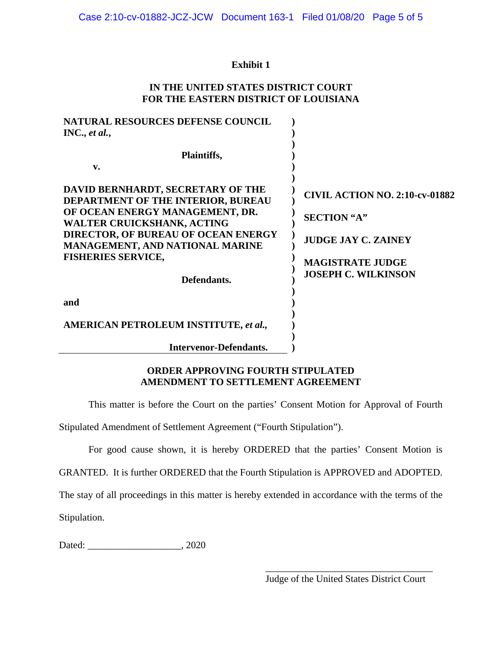# **Exhibit 1**

## **IN THE UNITED STATES DISTRICT COURT FOR THE EASTERN DISTRICT OF LOUISIANA**

| <b>NATURAL RESOURCES DEFENSE COUNCIL</b><br>INC., et al.,                      |                                       |
|--------------------------------------------------------------------------------|---------------------------------------|
| Plaintiffs,                                                                    |                                       |
| $\mathbf{v}$ .                                                                 |                                       |
| DAVID BERNHARDT, SECRETARY OF THE<br><b>DEPARTMENT OF THE INTERIOR, BUREAU</b> | <b>CIVIL ACTION NO. 2:10-cv-01882</b> |
| OF OCEAN ENERGY MANAGEMENT, DR.<br><b>WALTER CRUICKSHANK, ACTING</b>           | <b>SECTION "A"</b>                    |
| DIRECTOR, OF BUREAU OF OCEAN ENERGY<br><b>MANAGEMENT, AND NATIONAL MARINE</b>  | <b>JUDGE JAY C. ZAINEY</b>            |
| <b>FISHERIES SERVICE,</b>                                                      | <b>MAGISTRATE JUDGE</b>               |
| Defendants.                                                                    | <b>JOSEPH C. WILKINSON</b>            |
| and                                                                            |                                       |
| <b>AMERICAN PETROLEUM INSTITUTE, et al.,</b>                                   |                                       |
| <b>Intervenor-Defendants.</b>                                                  |                                       |

## **ORDER APPROVING FOURTH STIPULATED AMENDMENT TO SETTLEMENT AGREEMENT**

This matter is before the Court on the parties' Consent Motion for Approval of Fourth

Stipulated Amendment of Settlement Agreement ("Fourth Stipulation").

For good cause shown, it is hereby ORDERED that the parties' Consent Motion is

GRANTED. It is further ORDERED that the Fourth Stipulation is APPROVED and ADOPTED.

The stay of all proceedings in this matter is hereby extended in accordance with the terms of the

Stipulation.

Dated: \_\_\_\_\_\_\_\_\_\_\_\_\_\_\_\_\_\_\_, 2020

\_\_\_\_\_\_\_\_\_\_\_\_\_\_\_\_\_\_\_\_\_\_\_\_\_\_\_\_\_\_\_\_\_\_ Judge of the United States District Court